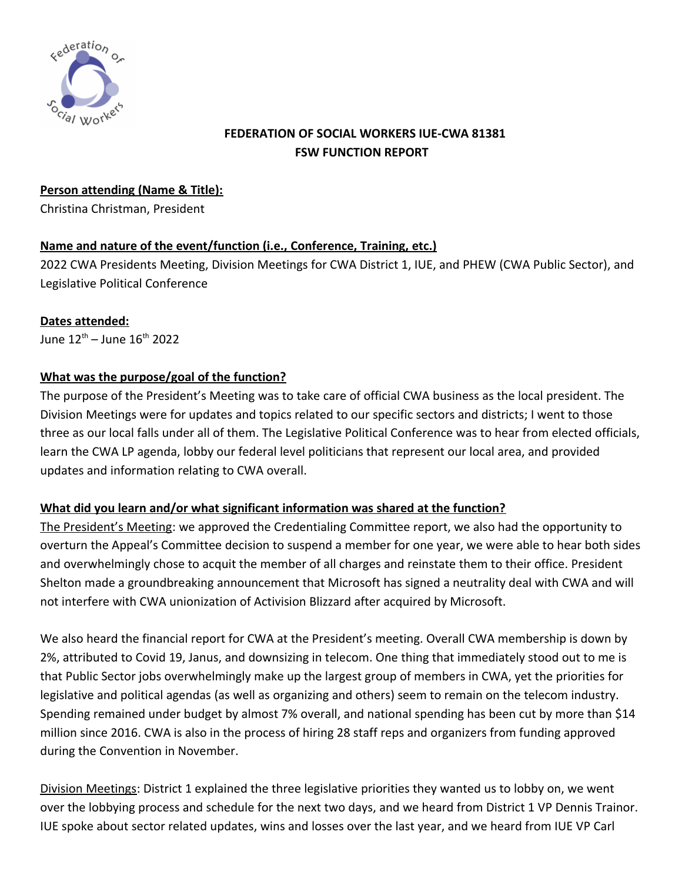

# **FEDERATION OF SOCIAL WORKERS IUE-CWA 81381 FSW FUNCTION REPORT**

**Person attending (Name & Title):**

Christina Christman, President

## **Name and nature of the event/function (i.e., Conference, Training, etc.)**

2022 CWA Presidents Meeting, Division Meetings for CWA District 1, IUE, and PHEW (CWA Public Sector), and Legislative Political Conference

#### **Dates attended:**

June  $12^{th}$  – June  $16^{th}$  2022

### **What was the purpose/goal of the function?**

The purpose of the President's Meeting was to take care of official CWA business as the local president. The Division Meetings were for updates and topics related to our specific sectors and districts; I went to those three as our local falls under all of them. The Legislative Political Conference was to hear from elected officials, learn the CWA LP agenda, lobby our federal level politicians that represent our local area, and provided updates and information relating to CWA overall.

#### **What did you learn and/or what significant information was shared at the function?**

The President's Meeting: we approved the Credentialing Committee report, we also had the opportunity to overturn the Appeal's Committee decision to suspend a member for one year, we were able to hear both sides and overwhelmingly chose to acquit the member of all charges and reinstate them to their office. President Shelton made a groundbreaking announcement that Microsoft has signed a neutrality deal with CWA and will not interfere with CWA unionization of Activision Blizzard after acquired by Microsoft.

We also heard the financial report for CWA at the President's meeting. Overall CWA membership is down by 2%, attributed to Covid 19, Janus, and downsizing in telecom. One thing that immediately stood out to me is that Public Sector jobs overwhelmingly make up the largest group of members in CWA, yet the priorities for legislative and political agendas (as well as organizing and others) seem to remain on the telecom industry. Spending remained under budget by almost 7% overall, and national spending has been cut by more than \$14 million since 2016. CWA is also in the process of hiring 28 staff reps and organizers from funding approved during the Convention in November.

Division Meetings: District 1 explained the three legislative priorities they wanted us to lobby on, we went over the lobbying process and schedule for the next two days, and we heard from District 1 VP Dennis Trainor. IUE spoke about sector related updates, wins and losses over the last year, and we heard from IUE VP Carl